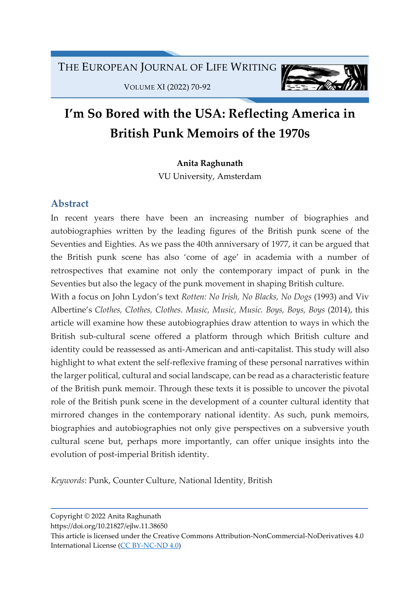VOLUME XI (2022) 70-92

# I'm So Bored with the USA: Reflecting America in British Punk Memoirs of the 1970s

## Anita Raghunath

VU University, Amsterdam

# Abstract

In recent years there have been an increasing number of biographies and autobiographies written by the leading figures of the British punk scene of the Seventies and Eighties. As we pass the 40th anniversary of 1977, it can be argued that the British punk scene has also 'come of age' in academia with a number of retrospectives that examine not only the contemporary impact of punk in the Seventies but also the legacy of the punk movement in shaping British culture.

With a focus on John Lydon's text Rotten: No Irish, No Blacks, No Dogs (1993) and Viv Albertine's Clothes, Clothes, Clothes. Music, Music, Music. Boys, Boys, Boys (2014), this article will examine how these autobiographies draw attention to ways in which the British sub-cultural scene offered a platform through which British culture and identity could be reassessed as anti-American and anti-capitalist. This study will also highlight to what extent the self-reflexive framing of these personal narratives within the larger political, cultural and social landscape, can be read as a characteristic feature of the British punk memoir. Through these texts it is possible to uncover the pivotal role of the British punk scene in the development of a counter cultural identity that mirrored changes in the contemporary national identity. As such, punk memoirs, biographies and autobiographies not only give perspectives on a subversive youth cultural scene but, perhaps more importantly, can offer unique insights into the evolution of post-imperial British identity.

Keywords: Punk, Counter Culture, National Identity, British

https://doi.org/10.21827/ejlw.11.38650

This article is licensed under the Creative Commons Attribution-NonCommercial-NoDerivatives 4.0 International License (CC BY-NC-ND 4.0)

Copyright © 2022 Anita Raghunath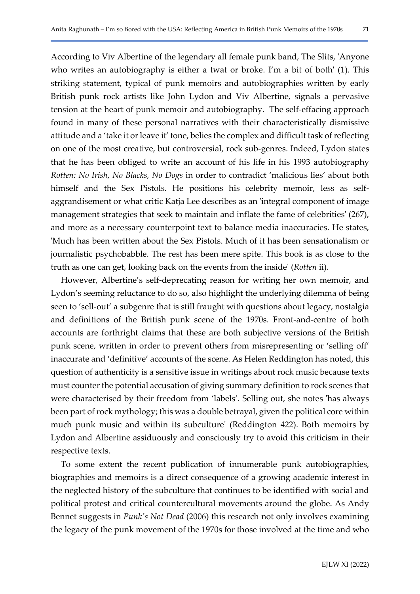According to Viv Albertine of the legendary all female punk band, The Slits, 'Anyone who writes an autobiography is either a twat or broke. I'm a bit of both' (1). This striking statement, typical of punk memoirs and autobiographies written by early British punk rock artists like John Lydon and Viv Albertine, signals a pervasive tension at the heart of punk memoir and autobiography. The self-effacing approach found in many of these personal narratives with their characteristically dismissive attitude and a 'take it or leave it' tone, belies the complex and difficult task of reflecting on one of the most creative, but controversial, rock sub-genres. Indeed, Lydon states that he has been obliged to write an account of his life in his 1993 autobiography Rotten: No Irish, No Blacks, No Dogs in order to contradict 'malicious lies' about both himself and the Sex Pistols. He positions his celebrity memoir, less as selfaggrandisement or what critic Katja Lee describes as an 'integral component of image management strategies that seek to maintain and inflate the fame of celebrities' (267), and more as a necessary counterpoint text to balance media inaccuracies. He states, 'Much has been written about the Sex Pistols. Much of it has been sensationalism or journalistic psychobabble. The rest has been mere spite. This book is as close to the truth as one can get, looking back on the events from the inside' (Rotten ii).

However, Albertine's self-deprecating reason for writing her own memoir, and Lydon's seeming reluctance to do so, also highlight the underlying dilemma of being seen to 'sell-out' a subgenre that is still fraught with questions about legacy, nostalgia and definitions of the British punk scene of the 1970s. Front-and-centre of both accounts are forthright claims that these are both subjective versions of the British punk scene, written in order to prevent others from misrepresenting or 'selling off' inaccurate and 'definitive' accounts of the scene. As Helen Reddington has noted, this question of authenticity is a sensitive issue in writings about rock music because texts must counter the potential accusation of giving summary definition to rock scenes that were characterised by their freedom from 'labels'. Selling out, she notes 'has always been part of rock mythology; this was a double betrayal, given the political core within much punk music and within its subculture' (Reddington 422). Both memoirs by Lydon and Albertine assiduously and consciously try to avoid this criticism in their respective texts.

To some extent the recent publication of innumerable punk autobiographies, biographies and memoirs is a direct consequence of a growing academic interest in the neglected history of the subculture that continues to be identified with social and political protest and critical countercultural movements around the globe. As Andy Bennet suggests in Punk's Not Dead (2006) this research not only involves examining the legacy of the punk movement of the 1970s for those involved at the time and who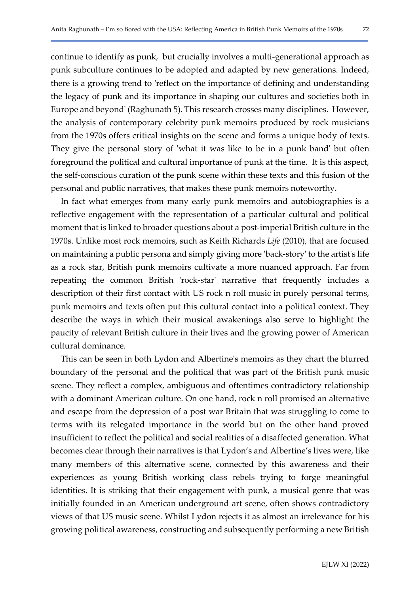continue to identify as punk, but crucially involves a multi-generational approach as punk subculture continues to be adopted and adapted by new generations. Indeed, there is a growing trend to 'reflect on the importance of defining and understanding the legacy of punk and its importance in shaping our cultures and societies both in Europe and beyond' (Raghunath 5). This research crosses many disciplines. However, the analysis of contemporary celebrity punk memoirs produced by rock musicians from the 1970s offers critical insights on the scene and forms a unique body of texts. They give the personal story of 'what it was like to be in a punk band' but often foreground the political and cultural importance of punk at the time. It is this aspect, the self-conscious curation of the punk scene within these texts and this fusion of the personal and public narratives, that makes these punk memoirs noteworthy.

In fact what emerges from many early punk memoirs and autobiographies is a reflective engagement with the representation of a particular cultural and political moment that is linked to broader questions about a post-imperial British culture in the 1970s. Unlike most rock memoirs, such as Keith Richards Life (2010), that are focused on maintaining a public persona and simply giving more 'back-story' to the artist's life as a rock star, British punk memoirs cultivate a more nuanced approach. Far from repeating the common British 'rock-star' narrative that frequently includes a description of their first contact with US rock n roll music in purely personal terms, punk memoirs and texts often put this cultural contact into a political context. They describe the ways in which their musical awakenings also serve to highlight the paucity of relevant British culture in their lives and the growing power of American cultural dominance.

This can be seen in both Lydon and Albertine's memoirs as they chart the blurred boundary of the personal and the political that was part of the British punk music scene. They reflect a complex, ambiguous and oftentimes contradictory relationship with a dominant American culture. On one hand, rock n roll promised an alternative and escape from the depression of a post war Britain that was struggling to come to terms with its relegated importance in the world but on the other hand proved insufficient to reflect the political and social realities of a disaffected generation. What becomes clear through their narratives is that Lydon's and Albertine's lives were, like many members of this alternative scene, connected by this awareness and their experiences as young British working class rebels trying to forge meaningful identities. It is striking that their engagement with punk, a musical genre that was initially founded in an American underground art scene, often shows contradictory views of that US music scene. Whilst Lydon rejects it as almost an irrelevance for his growing political awareness, constructing and subsequently performing a new British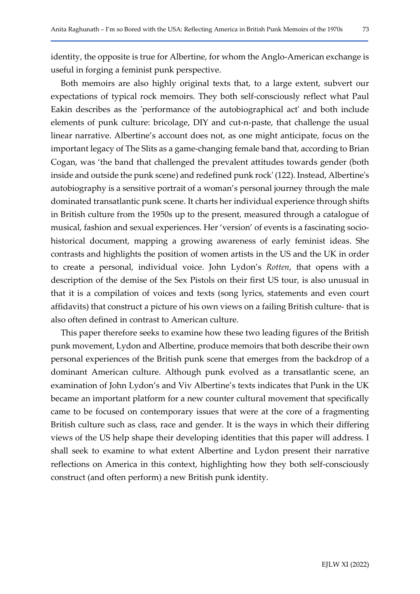identity, the opposite is true for Albertine, for whom the Anglo-American exchange is useful in forging a feminist punk perspective.

Both memoirs are also highly original texts that, to a large extent, subvert our expectations of typical rock memoirs. They both self-consciously reflect what Paul Eakin describes as the 'performance of the autobiographical act' and both include elements of punk culture: bricolage, DIY and cut-n-paste, that challenge the usual linear narrative. Albertine's account does not, as one might anticipate, focus on the important legacy of The Slits as a game-changing female band that, according to Brian Cogan, was 'the band that challenged the prevalent attitudes towards gender (both inside and outside the punk scene) and redefined punk rock' (122). Instead, Albertine's autobiography is a sensitive portrait of a woman's personal journey through the male dominated transatlantic punk scene. It charts her individual experience through shifts in British culture from the 1950s up to the present, measured through a catalogue of musical, fashion and sexual experiences. Her 'version' of events is a fascinating sociohistorical document, mapping a growing awareness of early feminist ideas. She contrasts and highlights the position of women artists in the US and the UK in order to create a personal, individual voice. John Lydon's Rotten, that opens with a description of the demise of the Sex Pistols on their first US tour, is also unusual in that it is a compilation of voices and texts (song lyrics, statements and even court affidavits) that construct a picture of his own views on a failing British culture- that is also often defined in contrast to American culture.

This paper therefore seeks to examine how these two leading figures of the British punk movement, Lydon and Albertine, produce memoirs that both describe their own personal experiences of the British punk scene that emerges from the backdrop of a dominant American culture. Although punk evolved as a transatlantic scene, an examination of John Lydon's and Viv Albertine's texts indicates that Punk in the UK became an important platform for a new counter cultural movement that specifically came to be focused on contemporary issues that were at the core of a fragmenting British culture such as class, race and gender. It is the ways in which their differing views of the US help shape their developing identities that this paper will address. I shall seek to examine to what extent Albertine and Lydon present their narrative reflections on America in this context, highlighting how they both self-consciously construct (and often perform) a new British punk identity.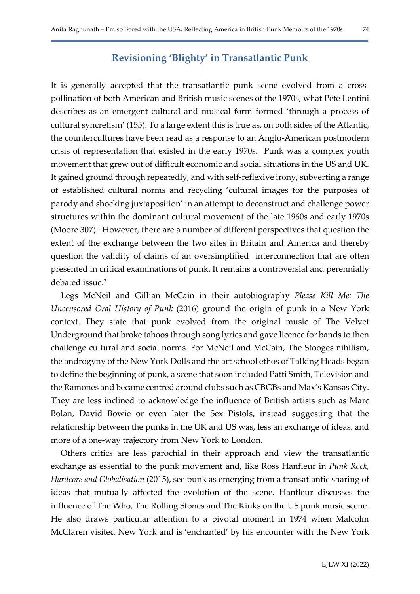#### Revisioning 'Blighty' in Transatlantic Punk

It is generally accepted that the transatlantic punk scene evolved from a crosspollination of both American and British music scenes of the 1970s, what Pete Lentini describes as an emergent cultural and musical form formed 'through a process of cultural syncretism' (155). To a large extent this is true as, on both sides of the Atlantic, the countercultures have been read as a response to an Anglo-American postmodern crisis of representation that existed in the early 1970s. Punk was a complex youth movement that grew out of difficult economic and social situations in the US and UK. It gained ground through repeatedly, and with self-reflexive irony, subverting a range of established cultural norms and recycling 'cultural images for the purposes of parody and shocking juxtaposition' in an attempt to deconstruct and challenge power structures within the dominant cultural movement of the late 1960s and early 1970s (Moore 307).<sup>1</sup> However, there are a number of different perspectives that question the extent of the exchange between the two sites in Britain and America and thereby question the validity of claims of an oversimplified interconnection that are often presented in critical examinations of punk. It remains a controversial and perennially debated issue.<sup>2</sup>

Legs McNeil and Gillian McCain in their autobiography Please Kill Me: The Uncensored Oral History of Punk (2016) ground the origin of punk in a New York context. They state that punk evolved from the original music of The Velvet Underground that broke taboos through song lyrics and gave licence for bands to then challenge cultural and social norms. For McNeil and McCain, The Stooges nihilism, the androgyny of the New York Dolls and the art school ethos of Talking Heads began to define the beginning of punk, a scene that soon included Patti Smith, Television and the Ramones and became centred around clubs such as CBGBs and Max's Kansas City. They are less inclined to acknowledge the influence of British artists such as Marc Bolan, David Bowie or even later the Sex Pistols, instead suggesting that the relationship between the punks in the UK and US was, less an exchange of ideas, and more of a one-way trajectory from New York to London.

Others critics are less parochial in their approach and view the transatlantic exchange as essential to the punk movement and, like Ross Hanfleur in *Punk Rock*, Hardcore and Globalisation (2015), see punk as emerging from a transatlantic sharing of ideas that mutually affected the evolution of the scene. Hanfleur discusses the influence of The Who, The Rolling Stones and The Kinks on the US punk music scene. He also draws particular attention to a pivotal moment in 1974 when Malcolm McClaren visited New York and is 'enchanted' by his encounter with the New York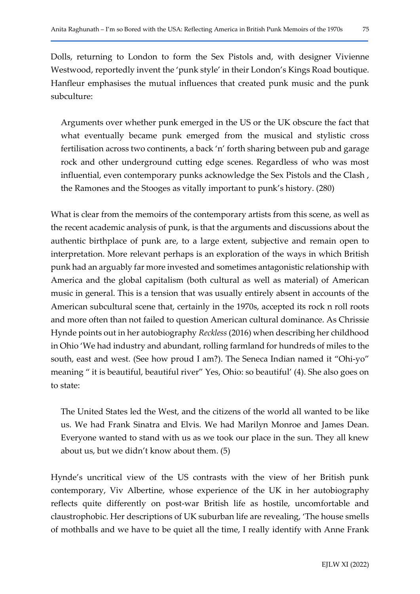Dolls, returning to London to form the Sex Pistols and, with designer Vivienne Westwood, reportedly invent the 'punk style' in their London's Kings Road boutique. Hanfleur emphasises the mutual influences that created punk music and the punk subculture:

Arguments over whether punk emerged in the US or the UK obscure the fact that what eventually became punk emerged from the musical and stylistic cross fertilisation across two continents, a back 'n' forth sharing between pub and garage rock and other underground cutting edge scenes. Regardless of who was most influential, even contemporary punks acknowledge the Sex Pistols and the Clash , the Ramones and the Stooges as vitally important to punk's history. (280)

What is clear from the memoirs of the contemporary artists from this scene, as well as the recent academic analysis of punk, is that the arguments and discussions about the authentic birthplace of punk are, to a large extent, subjective and remain open to interpretation. More relevant perhaps is an exploration of the ways in which British punk had an arguably far more invested and sometimes antagonistic relationship with America and the global capitalism (both cultural as well as material) of American music in general. This is a tension that was usually entirely absent in accounts of the American subcultural scene that, certainly in the 1970s, accepted its rock n roll roots and more often than not failed to question American cultural dominance. As Chrissie Hynde points out in her autobiography Reckless (2016) when describing her childhood in Ohio 'We had industry and abundant, rolling farmland for hundreds of miles to the south, east and west. (See how proud I am?). The Seneca Indian named it "Ohi-yo" meaning " it is beautiful, beautiful river" Yes, Ohio: so beautiful' (4). She also goes on to state:

The United States led the West, and the citizens of the world all wanted to be like us. We had Frank Sinatra and Elvis. We had Marilyn Monroe and James Dean. Everyone wanted to stand with us as we took our place in the sun. They all knew about us, but we didn't know about them. (5)

Hynde's uncritical view of the US contrasts with the view of her British punk contemporary, Viv Albertine, whose experience of the UK in her autobiography reflects quite differently on post-war British life as hostile, uncomfortable and claustrophobic. Her descriptions of UK suburban life are revealing, 'The house smells of mothballs and we have to be quiet all the time, I really identify with Anne Frank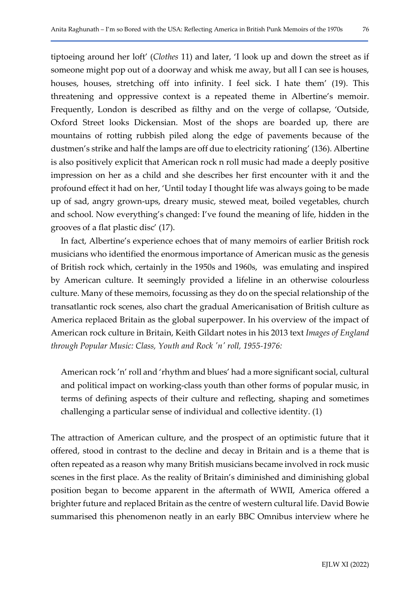tiptoeing around her loft' (Clothes 11) and later, 'I look up and down the street as if someone might pop out of a doorway and whisk me away, but all I can see is houses, houses, houses, stretching off into infinity. I feel sick. I hate them' (19). This threatening and oppressive context is a repeated theme in Albertine's memoir. Frequently, London is described as filthy and on the verge of collapse, 'Outside, Oxford Street looks Dickensian. Most of the shops are boarded up, there are mountains of rotting rubbish piled along the edge of pavements because of the dustmen's strike and half the lamps are off due to electricity rationing' (136). Albertine is also positively explicit that American rock n roll music had made a deeply positive impression on her as a child and she describes her first encounter with it and the profound effect it had on her, 'Until today I thought life was always going to be made up of sad, angry grown-ups, dreary music, stewed meat, boiled vegetables, church and school. Now everything's changed: I've found the meaning of life, hidden in the grooves of a flat plastic disc' (17).

In fact, Albertine's experience echoes that of many memoirs of earlier British rock musicians who identified the enormous importance of American music as the genesis of British rock which, certainly in the 1950s and 1960s, was emulating and inspired by American culture. It seemingly provided a lifeline in an otherwise colourless culture. Many of these memoirs, focussing as they do on the special relationship of the transatlantic rock scenes, also chart the gradual Americanisation of British culture as America replaced Britain as the global superpower. In his overview of the impact of American rock culture in Britain, Keith Gildart notes in his 2013 text Images of England through Popular Music: Class, Youth and Rock 'n' roll, 1955-1976:

American rock 'n' roll and 'rhythm and blues' had a more significant social, cultural and political impact on working-class youth than other forms of popular music, in terms of defining aspects of their culture and reflecting, shaping and sometimes challenging a particular sense of individual and collective identity. (1)

The attraction of American culture, and the prospect of an optimistic future that it offered, stood in contrast to the decline and decay in Britain and is a theme that is often repeated as a reason why many British musicians became involved in rock music scenes in the first place. As the reality of Britain's diminished and diminishing global position began to become apparent in the aftermath of WWII, America offered a brighter future and replaced Britain as the centre of western cultural life. David Bowie summarised this phenomenon neatly in an early BBC Omnibus interview where he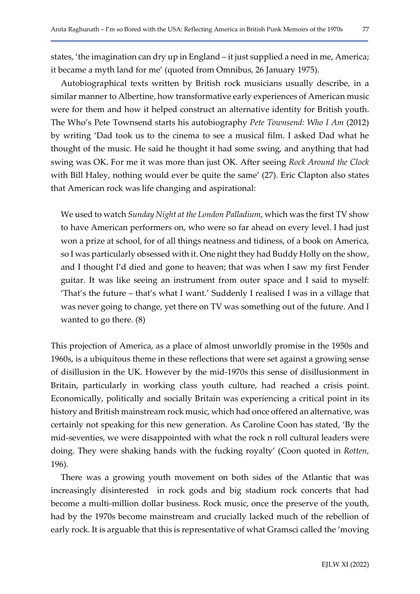states, 'the imagination can dry up in England – it just supplied a need in me, America; it became a myth land for me' (quoted from Omnibus, 26 January 1975).

Autobiographical texts written by British rock musicians usually describe, in a similar manner to Albertine, how transformative early experiences of American music were for them and how it helped construct an alternative identity for British youth. The Who's Pete Townsend starts his autobiography Pete Townsend: Who I Am (2012) by writing 'Dad took us to the cinema to see a musical film. I asked Dad what he thought of the music. He said he thought it had some swing, and anything that had swing was OK. For me it was more than just OK. After seeing Rock Around the Clock with Bill Haley, nothing would ever be quite the same' (27). Eric Clapton also states that American rock was life changing and aspirational:

We used to watch Sunday Night at the London Palladium, which was the first TV show to have American performers on, who were so far ahead on every level. I had just won a prize at school, for of all things neatness and tidiness, of a book on America, so I was particularly obsessed with it. One night they had Buddy Holly on the show, and I thought I'd died and gone to heaven; that was when I saw my first Fender guitar. It was like seeing an instrument from outer space and I said to myself: 'That's the future – that's what I want.' Suddenly I realised I was in a village that was never going to change, yet there on TV was something out of the future. And I wanted to go there. (8)

This projection of America, as a place of almost unworldly promise in the 1950s and 1960s, is a ubiquitous theme in these reflections that were set against a growing sense of disillusion in the UK. However by the mid-1970s this sense of disillusionment in Britain, particularly in working class youth culture, had reached a crisis point. Economically, politically and socially Britain was experiencing a critical point in its history and British mainstream rock music, which had once offered an alternative, was certainly not speaking for this new generation. As Caroline Coon has stated, 'By the mid-seventies, we were disappointed with what the rock n roll cultural leaders were doing. They were shaking hands with the fucking royalty' (Coon quoted in Rotten, 196).

There was a growing youth movement on both sides of the Atlantic that was increasingly disinterested in rock gods and big stadium rock concerts that had become a multi-million dollar business. Rock music, once the preserve of the youth, had by the 1970s become mainstream and crucially lacked much of the rebellion of early rock. It is arguable that this is representative of what Gramsci called the 'moving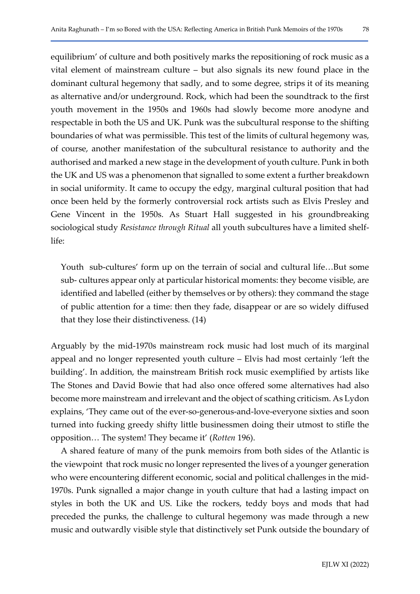equilibrium' of culture and both positively marks the repositioning of rock music as a vital element of mainstream culture – but also signals its new found place in the dominant cultural hegemony that sadly, and to some degree, strips it of its meaning as alternative and/or underground. Rock, which had been the soundtrack to the first youth movement in the 1950s and 1960s had slowly become more anodyne and respectable in both the US and UK. Punk was the subcultural response to the shifting boundaries of what was permissible. This test of the limits of cultural hegemony was, of course, another manifestation of the subcultural resistance to authority and the authorised and marked a new stage in the development of youth culture. Punk in both the UK and US was a phenomenon that signalled to some extent a further breakdown in social uniformity. It came to occupy the edgy, marginal cultural position that had once been held by the formerly controversial rock artists such as Elvis Presley and Gene Vincent in the 1950s. As Stuart Hall suggested in his groundbreaking sociological study Resistance through Ritual all youth subcultures have a limited shelflife:

Youth sub-cultures' form up on the terrain of social and cultural life…But some sub- cultures appear only at particular historical moments: they become visible, are identified and labelled (either by themselves or by others): they command the stage of public attention for a time: then they fade, disappear or are so widely diffused that they lose their distinctiveness. (14)

Arguably by the mid-1970s mainstream rock music had lost much of its marginal appeal and no longer represented youth culture – Elvis had most certainly 'left the building'. In addition, the mainstream British rock music exemplified by artists like The Stones and David Bowie that had also once offered some alternatives had also become more mainstream and irrelevant and the object of scathing criticism. As Lydon explains, 'They came out of the ever-so-generous-and-love-everyone sixties and soon turned into fucking greedy shifty little businessmen doing their utmost to stifle the opposition… The system! They became it' (Rotten 196).

A shared feature of many of the punk memoirs from both sides of the Atlantic is the viewpoint that rock music no longer represented the lives of a younger generation who were encountering different economic, social and political challenges in the mid-1970s. Punk signalled a major change in youth culture that had a lasting impact on styles in both the UK and US. Like the rockers, teddy boys and mods that had preceded the punks, the challenge to cultural hegemony was made through a new music and outwardly visible style that distinctively set Punk outside the boundary of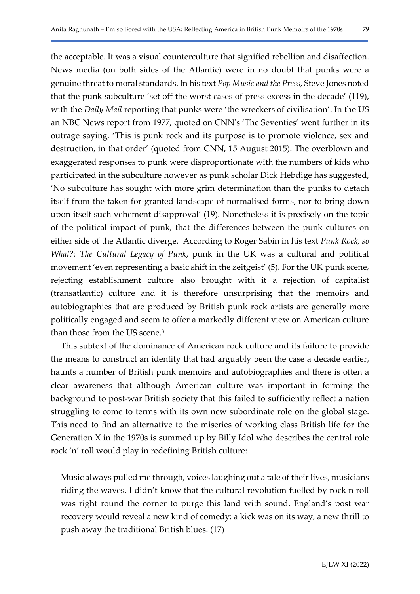the acceptable. It was a visual counterculture that signified rebellion and disaffection. News media (on both sides of the Atlantic) were in no doubt that punks were a genuine threat to moral standards. In his text Pop Music and the Press, Steve Jones noted that the punk subculture 'set off the worst cases of press excess in the decade' (119), with the *Daily Mail* reporting that punks were 'the wreckers of civilisation'. In the US an NBC News report from 1977, quoted on CNN's 'The Seventies' went further in its outrage saying, 'This is punk rock and its purpose is to promote violence, sex and destruction, in that order' (quoted from CNN, 15 August 2015). The overblown and exaggerated responses to punk were disproportionate with the numbers of kids who participated in the subculture however as punk scholar Dick Hebdige has suggested, 'No subculture has sought with more grim determination than the punks to detach itself from the taken-for-granted landscape of normalised forms, nor to bring down upon itself such vehement disapproval' (19). Nonetheless it is precisely on the topic of the political impact of punk, that the differences between the punk cultures on either side of the Atlantic diverge. According to Roger Sabin in his text Punk Rock, so What?: The Cultural Legacy of Punk, punk in the UK was a cultural and political movement 'even representing a basic shift in the zeitgeist' (5). For the UK punk scene, rejecting establishment culture also brought with it a rejection of capitalist (transatlantic) culture and it is therefore unsurprising that the memoirs and autobiographies that are produced by British punk rock artists are generally more politically engaged and seem to offer a markedly different view on American culture than those from the US scene.<sup>3</sup>

This subtext of the dominance of American rock culture and its failure to provide the means to construct an identity that had arguably been the case a decade earlier, haunts a number of British punk memoirs and autobiographies and there is often a clear awareness that although American culture was important in forming the background to post-war British society that this failed to sufficiently reflect a nation struggling to come to terms with its own new subordinate role on the global stage. This need to find an alternative to the miseries of working class British life for the Generation X in the 1970s is summed up by Billy Idol who describes the central role rock 'n' roll would play in redefining British culture:

Music always pulled me through, voices laughing out a tale of their lives, musicians riding the waves. I didn't know that the cultural revolution fuelled by rock n roll was right round the corner to purge this land with sound. England's post war recovery would reveal a new kind of comedy: a kick was on its way, a new thrill to push away the traditional British blues. (17)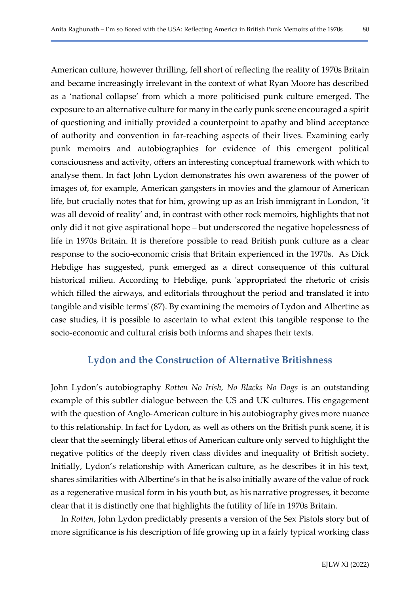American culture, however thrilling, fell short of reflecting the reality of 1970s Britain and became increasingly irrelevant in the context of what Ryan Moore has described as a 'national collapse' from which a more politicised punk culture emerged. The exposure to an alternative culture for many in the early punk scene encouraged a spirit of questioning and initially provided a counterpoint to apathy and blind acceptance of authority and convention in far-reaching aspects of their lives. Examining early punk memoirs and autobiographies for evidence of this emergent political consciousness and activity, offers an interesting conceptual framework with which to analyse them. In fact John Lydon demonstrates his own awareness of the power of images of, for example, American gangsters in movies and the glamour of American life, but crucially notes that for him, growing up as an Irish immigrant in London, 'it was all devoid of reality' and, in contrast with other rock memoirs, highlights that not only did it not give aspirational hope – but underscored the negative hopelessness of life in 1970s Britain. It is therefore possible to read British punk culture as a clear response to the socio-economic crisis that Britain experienced in the 1970s. As Dick Hebdige has suggested, punk emerged as a direct consequence of this cultural historical milieu. According to Hebdige, punk 'appropriated the rhetoric of crisis which filled the airways, and editorials throughout the period and translated it into tangible and visible terms' (87). By examining the memoirs of Lydon and Albertine as case studies, it is possible to ascertain to what extent this tangible response to the socio-economic and cultural crisis both informs and shapes their texts.

#### Lydon and the Construction of Alternative Britishness

John Lydon's autobiography Rotten No Irish, No Blacks No Dogs is an outstanding example of this subtler dialogue between the US and UK cultures. His engagement with the question of Anglo-American culture in his autobiography gives more nuance to this relationship. In fact for Lydon, as well as others on the British punk scene, it is clear that the seemingly liberal ethos of American culture only served to highlight the negative politics of the deeply riven class divides and inequality of British society. Initially, Lydon's relationship with American culture, as he describes it in his text, shares similarities with Albertine's in that he is also initially aware of the value of rock as a regenerative musical form in his youth but, as his narrative progresses, it become clear that it is distinctly one that highlights the futility of life in 1970s Britain.

In Rotten, John Lydon predictably presents a version of the Sex Pistols story but of more significance is his description of life growing up in a fairly typical working class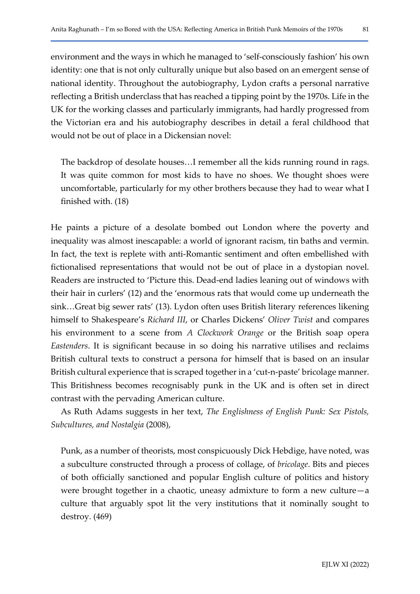environment and the ways in which he managed to 'self-consciously fashion' his own identity: one that is not only culturally unique but also based on an emergent sense of national identity. Throughout the autobiography, Lydon crafts a personal narrative reflecting a British underclass that has reached a tipping point by the 1970s. Life in the UK for the working classes and particularly immigrants, had hardly progressed from the Victorian era and his autobiography describes in detail a feral childhood that would not be out of place in a Dickensian novel:

The backdrop of desolate houses…I remember all the kids running round in rags. It was quite common for most kids to have no shoes. We thought shoes were uncomfortable, particularly for my other brothers because they had to wear what I finished with. (18)

He paints a picture of a desolate bombed out London where the poverty and inequality was almost inescapable: a world of ignorant racism, tin baths and vermin. In fact, the text is replete with anti-Romantic sentiment and often embellished with fictionalised representations that would not be out of place in a dystopian novel. Readers are instructed to 'Picture this. Dead-end ladies leaning out of windows with their hair in curlers' (12) and the 'enormous rats that would come up underneath the sink…Great big sewer rats' (13). Lydon often uses British literary references likening himself to Shakespeare's Richard III, or Charles Dickens' Oliver Twist and compares his environment to a scene from A Clockwork Orange or the British soap opera Eastenders. It is significant because in so doing his narrative utilises and reclaims British cultural texts to construct a persona for himself that is based on an insular British cultural experience that is scraped together in a 'cut-n-paste' bricolage manner. This Britishness becomes recognisably punk in the UK and is often set in direct contrast with the pervading American culture.

As Ruth Adams suggests in her text, The Englishness of English Punk: Sex Pistols, Subcultures, and Nostalgia (2008),

Punk, as a number of theorists, most conspicuously Dick Hebdige, have noted, was a subculture constructed through a process of collage, of bricolage. Bits and pieces of both officially sanctioned and popular English culture of politics and history were brought together in a chaotic, uneasy admixture to form a new culture—a culture that arguably spot lit the very institutions that it nominally sought to destroy. (469)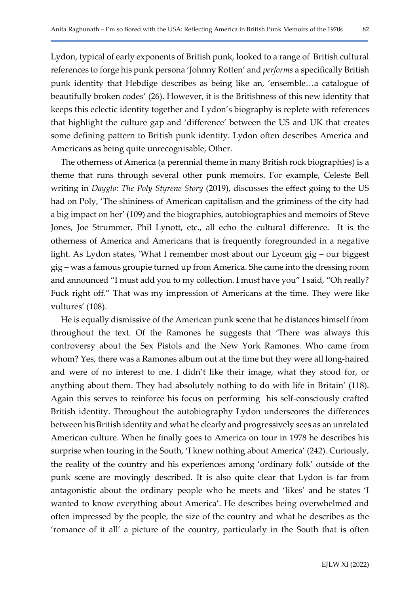Lydon, typical of early exponents of British punk, looked to a range of British cultural references to forge his punk persona 'Johnny Rotten' and performs a specifically British punk identity that Hebdige describes as being like an, 'ensemble…a catalogue of beautifully broken codes' (26). However, it is the Britishness of this new identity that keeps this eclectic identity together and Lydon's biography is replete with references that highlight the culture gap and 'difference' between the US and UK that creates some defining pattern to British punk identity. Lydon often describes America and Americans as being quite unrecognisable, Other.

The otherness of America (a perennial theme in many British rock biographies) is a theme that runs through several other punk memoirs. For example, Celeste Bell writing in Dayglo: The Poly Styrene Story (2019), discusses the effect going to the US had on Poly, 'The shininess of American capitalism and the griminess of the city had a big impact on her' (109) and the biographies, autobiographies and memoirs of Steve Jones, Joe Strummer, Phil Lynott, etc., all echo the cultural difference. It is the otherness of America and Americans that is frequently foregrounded in a negative light. As Lydon states, 'What I remember most about our Lyceum gig – our biggest gig – was a famous groupie turned up from America. She came into the dressing room and announced "I must add you to my collection. I must have you" I said, "Oh really? Fuck right off." That was my impression of Americans at the time. They were like vultures' (108).

He is equally dismissive of the American punk scene that he distances himself from throughout the text. Of the Ramones he suggests that 'There was always this controversy about the Sex Pistols and the New York Ramones. Who came from whom? Yes, there was a Ramones album out at the time but they were all long-haired and were of no interest to me. I didn't like their image, what they stood for, or anything about them. They had absolutely nothing to do with life in Britain' (118). Again this serves to reinforce his focus on performing his self-consciously crafted British identity. Throughout the autobiography Lydon underscores the differences between his British identity and what he clearly and progressively sees as an unrelated American culture. When he finally goes to America on tour in 1978 he describes his surprise when touring in the South, 'I knew nothing about America' (242). Curiously, the reality of the country and his experiences among 'ordinary folk' outside of the punk scene are movingly described. It is also quite clear that Lydon is far from antagonistic about the ordinary people who he meets and 'likes' and he states 'I wanted to know everything about America'. He describes being overwhelmed and often impressed by the people, the size of the country and what he describes as the 'romance of it all' a picture of the country, particularly in the South that is often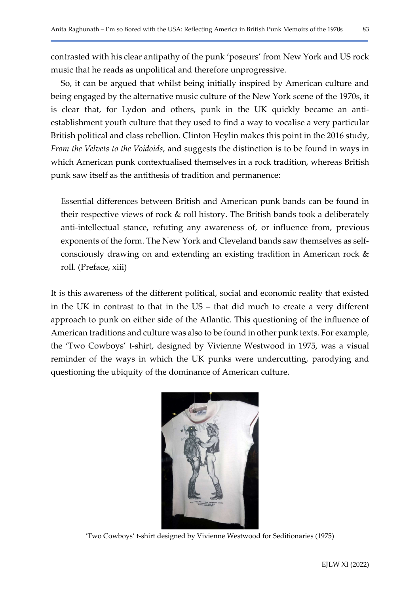contrasted with his clear antipathy of the punk 'poseurs' from New York and US rock music that he reads as unpolitical and therefore unprogressive.

So, it can be argued that whilst being initially inspired by American culture and being engaged by the alternative music culture of the New York scene of the 1970s, it is clear that, for Lydon and others, punk in the UK quickly became an antiestablishment youth culture that they used to find a way to vocalise a very particular British political and class rebellion. Clinton Heylin makes this point in the 2016 study, From the Velvets to the Voidoids, and suggests the distinction is to be found in ways in which American punk contextualised themselves in a rock tradition, whereas British punk saw itself as the antithesis of tradition and permanence:

Essential differences between British and American punk bands can be found in their respective views of rock & roll history. The British bands took a deliberately anti-intellectual stance, refuting any awareness of, or influence from, previous exponents of the form. The New York and Cleveland bands saw themselves as selfconsciously drawing on and extending an existing tradition in American rock & roll. (Preface, xiii)

It is this awareness of the different political, social and economic reality that existed in the UK in contrast to that in the US – that did much to create a very different approach to punk on either side of the Atlantic. This questioning of the influence of American traditions and culture was also to be found in other punk texts. For example, the 'Two Cowboys' t-shirt, designed by Vivienne Westwood in 1975, was a visual reminder of the ways in which the UK punks were undercutting, parodying and questioning the ubiquity of the dominance of American culture.



'Two Cowboys' t-shirt designed by Vivienne Westwood for Seditionaries (1975)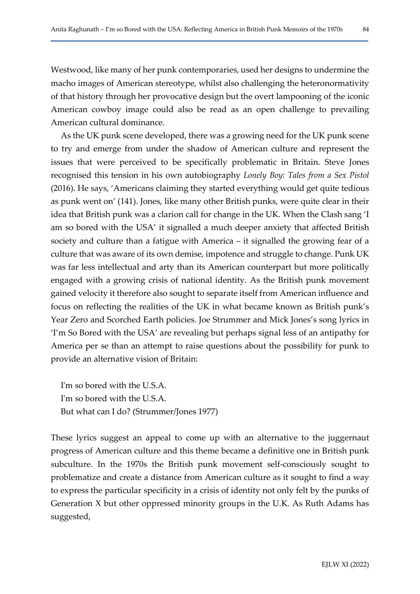Westwood, like many of her punk contemporaries, used her designs to undermine the macho images of American stereotype, whilst also challenging the heteronormativity of that history through her provocative design but the overt lampooning of the iconic American cowboy image could also be read as an open challenge to prevailing American cultural dominance.

As the UK punk scene developed, there was a growing need for the UK punk scene to try and emerge from under the shadow of American culture and represent the issues that were perceived to be specifically problematic in Britain. Steve Jones recognised this tension in his own autobiography Lonely Boy: Tales from a Sex Pistol (2016). He says, 'Americans claiming they started everything would get quite tedious as punk went on' (141). Jones, like many other British punks, were quite clear in their idea that British punk was a clarion call for change in the UK. When the Clash sang 'I am so bored with the USA' it signalled a much deeper anxiety that affected British society and culture than a fatigue with America – it signalled the growing fear of a culture that was aware of its own demise, impotence and struggle to change. Punk UK was far less intellectual and arty than its American counterpart but more politically engaged with a growing crisis of national identity. As the British punk movement gained velocity it therefore also sought to separate itself from American influence and focus on reflecting the realities of the UK in what became known as British punk's Year Zero and Scorched Earth policies. Joe Strummer and Mick Jones's song lyrics in 'I'm So Bored with the USA' are revealing but perhaps signal less of an antipathy for America per se than an attempt to raise questions about the possibility for punk to provide an alternative vision of Britain:

I'm so bored with the U.S.A. I'm so bored with the U.S.A. But what can I do? (Strummer/Jones 1977)

These lyrics suggest an appeal to come up with an alternative to the juggernaut progress of American culture and this theme became a definitive one in British punk subculture. In the 1970s the British punk movement self-consciously sought to problematize and create a distance from American culture as it sought to find a way to express the particular specificity in a crisis of identity not only felt by the punks of Generation X but other oppressed minority groups in the U.K. As Ruth Adams has suggested,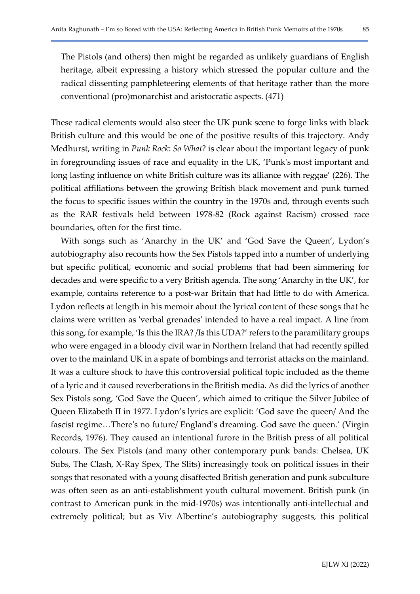The Pistols (and others) then might be regarded as unlikely guardians of English heritage, albeit expressing a history which stressed the popular culture and the radical dissenting pamphleteering elements of that heritage rather than the more conventional (pro)monarchist and aristocratic aspects. (471)

These radical elements would also steer the UK punk scene to forge links with black British culture and this would be one of the positive results of this trajectory. Andy Medhurst, writing in Punk Rock: So What? is clear about the important legacy of punk in foregrounding issues of race and equality in the UK, 'Punk's most important and long lasting influence on white British culture was its alliance with reggae' (226). The political affiliations between the growing British black movement and punk turned the focus to specific issues within the country in the 1970s and, through events such as the RAR festivals held between 1978-82 (Rock against Racism) crossed race boundaries, often for the first time.

With songs such as 'Anarchy in the UK' and 'God Save the Queen', Lydon's autobiography also recounts how the Sex Pistols tapped into a number of underlying but specific political, economic and social problems that had been simmering for decades and were specific to a very British agenda. The song 'Anarchy in the UK', for example, contains reference to a post-war Britain that had little to do with America. Lydon reflects at length in his memoir about the lyrical content of these songs that he claims were written as 'verbal grenades' intended to have a real impact. A line from this song, for example, 'Is this the IRA? /Is this UDA?' refers to the paramilitary groups who were engaged in a bloody civil war in Northern Ireland that had recently spilled over to the mainland UK in a spate of bombings and terrorist attacks on the mainland. It was a culture shock to have this controversial political topic included as the theme of a lyric and it caused reverberations in the British media. As did the lyrics of another Sex Pistols song, 'God Save the Queen', which aimed to critique the Silver Jubilee of Queen Elizabeth II in 1977. Lydon's lyrics are explicit: 'God save the queen/ And the fascist regime…There's no future/ England's dreaming. God save the queen.' (Virgin Records, 1976). They caused an intentional furore in the British press of all political colours. The Sex Pistols (and many other contemporary punk bands: Chelsea, UK Subs, The Clash, X-Ray Spex, The Slits) increasingly took on political issues in their songs that resonated with a young disaffected British generation and punk subculture was often seen as an anti-establishment youth cultural movement. British punk (in contrast to American punk in the mid-1970s) was intentionally anti-intellectual and extremely political; but as Viv Albertine's autobiography suggests, this political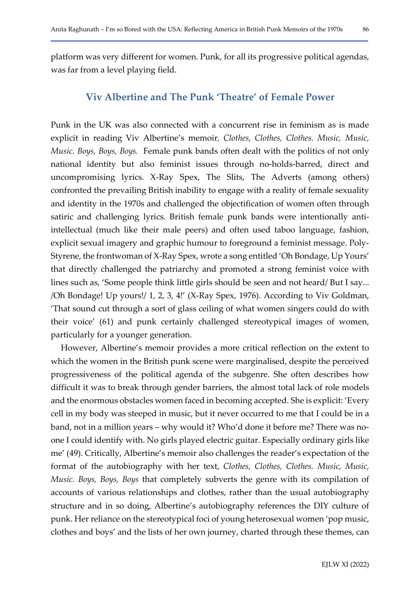platform was very different for women. Punk, for all its progressive political agendas, was far from a level playing field.

#### Viv Albertine and The Punk 'Theatre' of Female Power

Punk in the UK was also connected with a concurrent rise in feminism as is made explicit in reading Viv Albertine's memoir, Clothes, Clothes, Clothes. Music, Music, Music. Boys, Boys, Boys. Female punk bands often dealt with the politics of not only national identity but also feminist issues through no-holds-barred, direct and uncompromising lyrics. X-Ray Spex, The Slits, The Adverts (among others) confronted the prevailing British inability to engage with a reality of female sexuality and identity in the 1970s and challenged the objectification of women often through satiric and challenging lyrics. British female punk bands were intentionally antiintellectual (much like their male peers) and often used taboo language, fashion, explicit sexual imagery and graphic humour to foreground a feminist message. Poly-Styrene, the frontwoman of X-Ray Spex, wrote a song entitled 'Oh Bondage, Up Yours' that directly challenged the patriarchy and promoted a strong feminist voice with lines such as, 'Some people think little girls should be seen and not heard/ But I say... /Oh Bondage! Up yours!/ 1, 2, 3, 4!' (X-Ray Spex, 1976). According to Viv Goldman, 'That sound cut through a sort of glass ceiling of what women singers could do with their voice' (61) and punk certainly challenged stereotypical images of women, particularly for a younger generation.

However, Albertine's memoir provides a more critical reflection on the extent to which the women in the British punk scene were marginalised, despite the perceived progressiveness of the political agenda of the subgenre. She often describes how difficult it was to break through gender barriers, the almost total lack of role models and the enormous obstacles women faced in becoming accepted. She is explicit: 'Every cell in my body was steeped in music, but it never occurred to me that I could be in a band, not in a million years – why would it? Who'd done it before me? There was noone I could identify with. No girls played electric guitar. Especially ordinary girls like me' (49). Critically, Albertine's memoir also challenges the reader's expectation of the format of the autobiography with her text, Clothes, Clothes, Clothes. Music, Music, Music. Boys, Boys, Boys that completely subverts the genre with its compilation of accounts of various relationships and clothes, rather than the usual autobiography structure and in so doing, Albertine's autobiography references the DIY culture of punk. Her reliance on the stereotypical foci of young heterosexual women 'pop music, clothes and boys' and the lists of her own journey, charted through these themes, can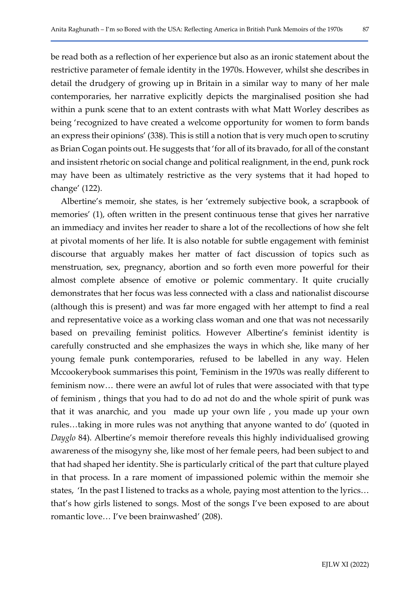be read both as a reflection of her experience but also as an ironic statement about the restrictive parameter of female identity in the 1970s. However, whilst she describes in detail the drudgery of growing up in Britain in a similar way to many of her male contemporaries, her narrative explicitly depicts the marginalised position she had within a punk scene that to an extent contrasts with what Matt Worley describes as being 'recognized to have created a welcome opportunity for women to form bands an express their opinions' (338). This is still a notion that is very much open to scrutiny as Brian Cogan points out. He suggests that 'for all of its bravado, for all of the constant and insistent rhetoric on social change and political realignment, in the end, punk rock may have been as ultimately restrictive as the very systems that it had hoped to change' (122).

Albertine's memoir, she states, is her 'extremely subjective book, a scrapbook of memories' (1), often written in the present continuous tense that gives her narrative an immediacy and invites her reader to share a lot of the recollections of how she felt at pivotal moments of her life. It is also notable for subtle engagement with feminist discourse that arguably makes her matter of fact discussion of topics such as menstruation, sex, pregnancy, abortion and so forth even more powerful for their almost complete absence of emotive or polemic commentary. It quite crucially demonstrates that her focus was less connected with a class and nationalist discourse (although this is present) and was far more engaged with her attempt to find a real and representative voice as a working class woman and one that was not necessarily based on prevailing feminist politics. However Albertine's feminist identity is carefully constructed and she emphasizes the ways in which she, like many of her young female punk contemporaries, refused to be labelled in any way. Helen Mccookerybook summarises this point, 'Feminism in the 1970s was really different to feminism now… there were an awful lot of rules that were associated with that type of feminism , things that you had to do ad not do and the whole spirit of punk was that it was anarchic, and you made up your own life , you made up your own rules…taking in more rules was not anything that anyone wanted to do' (quoted in Dayglo 84). Albertine's memoir therefore reveals this highly individualised growing awareness of the misogyny she, like most of her female peers, had been subject to and that had shaped her identity. She is particularly critical of the part that culture played in that process. In a rare moment of impassioned polemic within the memoir she states, 'In the past I listened to tracks as a whole, paying most attention to the lyrics… that's how girls listened to songs. Most of the songs I've been exposed to are about romantic love… I've been brainwashed' (208).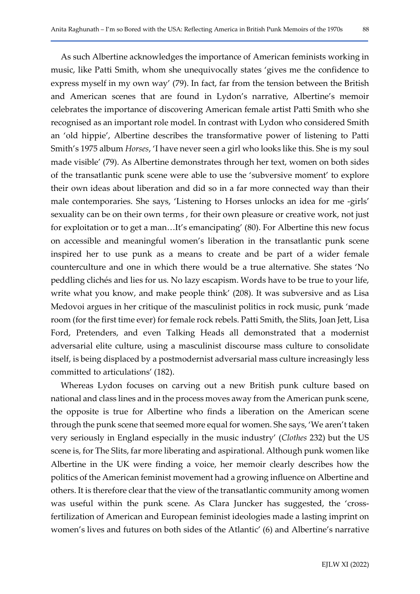As such Albertine acknowledges the importance of American feminists working in music, like Patti Smith, whom she unequivocally states 'gives me the confidence to express myself in my own way' (79). In fact, far from the tension between the British and American scenes that are found in Lydon's narrative, Albertine's memoir celebrates the importance of discovering American female artist Patti Smith who she recognised as an important role model. In contrast with Lydon who considered Smith an 'old hippie', Albertine describes the transformative power of listening to Patti Smith's 1975 album Horses, 'I have never seen a girl who looks like this. She is my soul made visible' (79). As Albertine demonstrates through her text, women on both sides of the transatlantic punk scene were able to use the 'subversive moment' to explore their own ideas about liberation and did so in a far more connected way than their male contemporaries. She says, 'Listening to Horses unlocks an idea for me -girls' sexuality can be on their own terms , for their own pleasure or creative work, not just for exploitation or to get a man…It's emancipating' (80). For Albertine this new focus on accessible and meaningful women's liberation in the transatlantic punk scene inspired her to use punk as a means to create and be part of a wider female counterculture and one in which there would be a true alternative. She states 'No peddling clichés and lies for us. No lazy escapism. Words have to be true to your life, write what you know, and make people think' (208). It was subversive and as Lisa Medovoi argues in her critique of the masculinist politics in rock music, punk 'made room (for the first time ever) for female rock rebels. Patti Smith, the Slits, Joan Jett, Lisa Ford, Pretenders, and even Talking Heads all demonstrated that a modernist adversarial elite culture, using a masculinist discourse mass culture to consolidate itself, is being displaced by a postmodernist adversarial mass culture increasingly less committed to articulations' (182).

Whereas Lydon focuses on carving out a new British punk culture based on national and class lines and in the process moves away from the American punk scene, the opposite is true for Albertine who finds a liberation on the American scene through the punk scene that seemed more equal for women. She says, 'We aren't taken very seriously in England especially in the music industry' (Clothes 232) but the US scene is, for The Slits, far more liberating and aspirational. Although punk women like Albertine in the UK were finding a voice, her memoir clearly describes how the politics of the American feminist movement had a growing influence on Albertine and others. It is therefore clear that the view of the transatlantic community among women was useful within the punk scene. As Clara Juncker has suggested, the 'crossfertilization of American and European feminist ideologies made a lasting imprint on women's lives and futures on both sides of the Atlantic' (6) and Albertine's narrative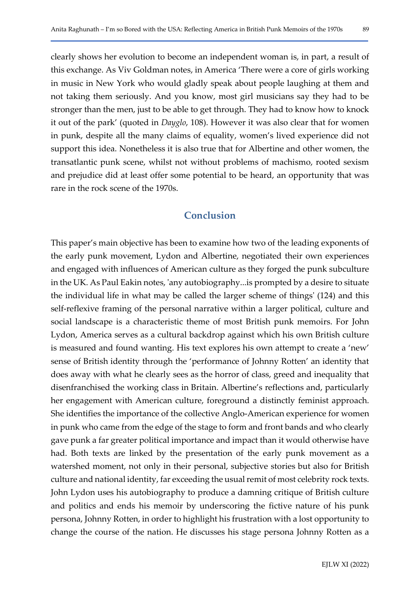clearly shows her evolution to become an independent woman is, in part, a result of this exchange. As Viv Goldman notes, in America 'There were a core of girls working in music in New York who would gladly speak about people laughing at them and not taking them seriously. And you know, most girl musicians say they had to be stronger than the men, just to be able to get through. They had to know how to knock it out of the park' (quoted in Dayglo, 108). However it was also clear that for women in punk, despite all the many claims of equality, women's lived experience did not support this idea. Nonetheless it is also true that for Albertine and other women, the transatlantic punk scene, whilst not without problems of machismo, rooted sexism and prejudice did at least offer some potential to be heard, an opportunity that was rare in the rock scene of the 1970s.

### Conclusion

This paper's main objective has been to examine how two of the leading exponents of the early punk movement, Lydon and Albertine, negotiated their own experiences and engaged with influences of American culture as they forged the punk subculture in the UK. As Paul Eakin notes, 'any autobiography...is prompted by a desire to situate the individual life in what may be called the larger scheme of things' (124) and this self-reflexive framing of the personal narrative within a larger political, culture and social landscape is a characteristic theme of most British punk memoirs. For John Lydon, America serves as a cultural backdrop against which his own British culture is measured and found wanting. His text explores his own attempt to create a 'new' sense of British identity through the 'performance of Johnny Rotten' an identity that does away with what he clearly sees as the horror of class, greed and inequality that disenfranchised the working class in Britain. Albertine's reflections and, particularly her engagement with American culture, foreground a distinctly feminist approach. She identifies the importance of the collective Anglo-American experience for women in punk who came from the edge of the stage to form and front bands and who clearly gave punk a far greater political importance and impact than it would otherwise have had. Both texts are linked by the presentation of the early punk movement as a watershed moment, not only in their personal, subjective stories but also for British culture and national identity, far exceeding the usual remit of most celebrity rock texts. John Lydon uses his autobiography to produce a damning critique of British culture and politics and ends his memoir by underscoring the fictive nature of his punk persona, Johnny Rotten, in order to highlight his frustration with a lost opportunity to change the course of the nation. He discusses his stage persona Johnny Rotten as a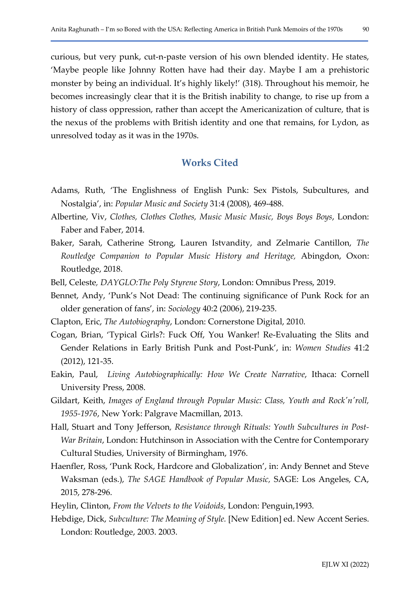curious, but very punk, cut-n-paste version of his own blended identity. He states, 'Maybe people like Johnny Rotten have had their day. Maybe I am a prehistoric monster by being an individual. It's highly likely!' (318). Throughout his memoir, he becomes increasingly clear that it is the British inability to change, to rise up from a history of class oppression, rather than accept the Americanization of culture, that is the nexus of the problems with British identity and one that remains, for Lydon, as unresolved today as it was in the 1970s.

#### Works Cited

- Adams, Ruth, 'The Englishness of English Punk: Sex Pistols, Subcultures, and Nostalgia', in: Popular Music and Society 31:4 (2008), 469-488.
- Albertine, Viv, Clothes, Clothes Clothes, Music Music Music, Boys Boys Boys, London: Faber and Faber, 2014.
- Baker, Sarah, Catherine Strong, Lauren Istvandity, and Zelmarie Cantillon, The Routledge Companion to Popular Music History and Heritage, Abingdon, Oxon: Routledge, 2018.
- Bell, Celeste, DAYGLO:The Poly Styrene Story, London: Omnibus Press, 2019.
- Bennet, Andy, 'Punk's Not Dead: The continuing significance of Punk Rock for an older generation of fans', in: Sociology 40:2 (2006), 219-235.
- Clapton, Eric, The Autobiography, London: Cornerstone Digital, 2010.
- Cogan, Brian, 'Typical Girls?: Fuck Off, You Wanker! Re-Evaluating the Slits and Gender Relations in Early British Punk and Post-Punk', in: Women Studies 41:2 (2012), 121-35.
- Eakin, Paul, Living Autobiographically: How We Create Narrative, Ithaca: Cornell University Press, 2008.
- Gildart, Keith, Images of England through Popular Music: Class, Youth and Rock'n'roll, 1955-1976, New York: Palgrave Macmillan, 2013.
- Hall, Stuart and Tony Jefferson, Resistance through Rituals: Youth Subcultures in Post-War Britain, London: Hutchinson in Association with the Centre for Contemporary Cultural Studies, University of Birmingham, 1976.
- Haenfler, Ross, 'Punk Rock, Hardcore and Globalization', in: Andy Bennet and Steve Waksman (eds.), The SAGE Handbook of Popular Music, SAGE: Los Angeles, CA, 2015, 278-296.
- Heylin, Clinton, From the Velvets to the Voidoids, London: Penguin,1993.
- Hebdige, Dick, Subculture: The Meaning of Style. [New Edition] ed. New Accent Series. London: Routledge, 2003. 2003.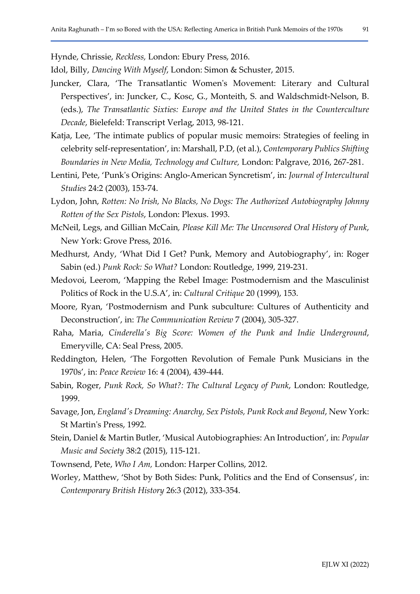Hynde, Chrissie, Reckless, London: Ebury Press, 2016.

Idol, Billy, Dancing With Myself, London: Simon & Schuster, 2015.

- Juncker, Clara, 'The Transatlantic Women's Movement: Literary and Cultural Perspectives', in: Juncker, C., Kosc, G., Monteith, S. and Waldschmidt-Nelson, B. (eds.), The Transatlantic Sixties: Europe and the United States in the Counterculture Decade, Bielefeld: Transcript Verlag, 2013, 98-121.
- Katja, Lee, 'The intimate publics of popular music memoirs: Strategies of feeling in celebrity self-representation', in: Marshall, P.D, (et al.), Contemporary Publics Shifting Boundaries in New Media, Technology and Culture, London: Palgrave, 2016, 267-281.
- Lentini, Pete, 'Punk's Origins: Anglo-American Syncretism', in: Journal of Intercultural Studies 24:2 (2003), 153-74.
- Lydon, John, Rotten: No Irish, No Blacks, No Dogs: The Authorized Autobiography Johnny Rotten of the Sex Pistols, London: Plexus. 1993.
- McNeil, Legs, and Gillian McCain, Please Kill Me: The Uncensored Oral History of Punk, New York: Grove Press, 2016.
- Medhurst, Andy, 'What Did I Get? Punk, Memory and Autobiography', in: Roger Sabin (ed.) Punk Rock: So What? London: Routledge, 1999, 219-231.
- Medovoi, Leerom, 'Mapping the Rebel Image: Postmodernism and the Masculinist Politics of Rock in the U.S.A', in: Cultural Critique 20 (1999), 153.
- Moore, Ryan, 'Postmodernism and Punk subculture: Cultures of Authenticity and Deconstruction', in: The Communication Review 7 (2004), 305-327.
- Raha, Maria, Cinderella's Big Score: Women of the Punk and Indie Underground, Emeryville, CA: Seal Press, 2005.
- Reddington, Helen, 'The Forgotten Revolution of Female Punk Musicians in the 1970s', in: Peace Review 16: 4 (2004), 439-444.
- Sabin, Roger, Punk Rock, So What?: The Cultural Legacy of Punk, London: Routledge, 1999.
- Savage, Jon, England's Dreaming: Anarchy, Sex Pistols, Punk Rock and Beyond, New York: St Martin's Press, 1992.
- Stein, Daniel & Martin Butler, 'Musical Autobiographies: An Introduction', in: Popular Music and Society 38:2 (2015), 115-121.
- Townsend, Pete, Who I Am, London: Harper Collins, 2012.
- Worley, Matthew, 'Shot by Both Sides: Punk, Politics and the End of Consensus', in: Contemporary British History 26:3 (2012), 333-354.